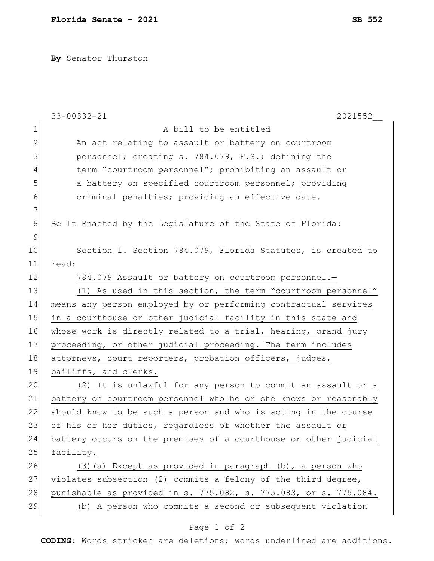**By** Senator Thurston

|                | 33-00332-21<br>2021552                                           |
|----------------|------------------------------------------------------------------|
| 1              | A bill to be entitled                                            |
| $\mathbf{2}$   | An act relating to assault or battery on courtroom               |
| 3              | personnel; creating s. 784.079, F.S.; defining the               |
| $\overline{4}$ | term "courtroom personnel"; prohibiting an assault or            |
| 5              | a battery on specified courtroom personnel; providing            |
| 6              | criminal penalties; providing an effective date.                 |
| 7              |                                                                  |
| $8\,$          | Be It Enacted by the Legislature of the State of Florida:        |
| $\mathcal{G}$  |                                                                  |
| 10             | Section 1. Section 784.079, Florida Statutes, is created to      |
| 11             | read:                                                            |
| 12             | 784.079 Assault or battery on courtroom personnel.-              |
| 13             | (1) As used in this section, the term "courtroom personnel"      |
| 14             | means any person employed by or performing contractual services  |
| 15             | in a courthouse or other judicial facility in this state and     |
| 16             | whose work is directly related to a trial, hearing, grand jury   |
| 17             | proceeding, or other judicial proceeding. The term includes      |
| 18             | attorneys, court reporters, probation officers, judges,          |
| 19             | bailiffs, and clerks.                                            |
| 20             | (2) It is unlawful for any person to commit an assault or a      |
| 21             | battery on courtroom personnel who he or she knows or reasonably |
| 22             | should know to be such a person and who is acting in the course  |
| 23             | of his or her duties, regardless of whether the assault or       |
| 24             | battery occurs on the premises of a courthouse or other judicial |
| 25             | facility.                                                        |
| 26             | (3) (a) Except as provided in paragraph (b), a person who        |
| 27             | violates subsection (2) commits a felony of the third degree,    |
| 28             | punishable as provided in s. 775.082, s. 775.083, or s. 775.084. |
| 29             | (b) A person who commits a second or subsequent violation        |

## Page 1 of 2

**CODING**: Words stricken are deletions; words underlined are additions.